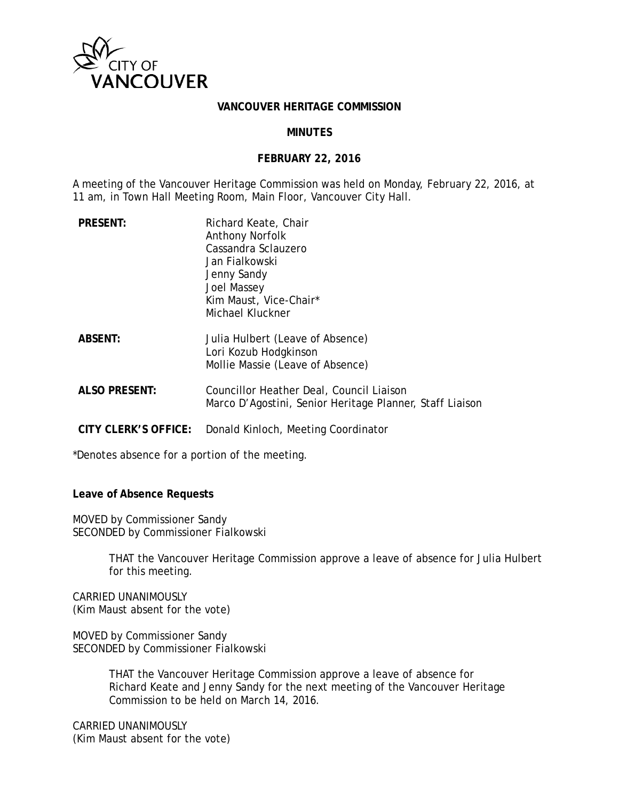

#### **VANCOUVER HERITAGE COMMISSION**

### **MINUTES**

### **FEBRUARY 22, 2016**

A meeting of the Vancouver Heritage Commission was held on Monday, February 22, 2016, at 11 am, in Town Hall Meeting Room, Main Floor, Vancouver City Hall.

| <b>PRESENT:</b>      | Richard Keate, Chair<br>Anthony Norfolk<br>Cassandra Sclauzero<br>Jan Fialkowski<br>Jenny Sandy<br>Joel Massey<br>Kim Maust, Vice-Chair*<br>Michael Kluckner |
|----------------------|--------------------------------------------------------------------------------------------------------------------------------------------------------------|
| <b>ABSENT:</b>       | Julia Hulbert (Leave of Absence)<br>Lori Kozub Hodgkinson<br>Mollie Massie (Leave of Absence)                                                                |
| <b>ALSO PRESENT:</b> | Councillor Heather Deal, Council Liaison<br>Marco D'Agostini, Senior Heritage Planner, Staff Liaison                                                         |
| CITY CLERK'S OFFICE: | Donald Kinloch, Meeting Coordinator                                                                                                                          |

\*Denotes absence for a portion of the meeting.

**Leave of Absence Requests**

MOVED by Commissioner Sandy SECONDED by Commissioner Fialkowski

> THAT the Vancouver Heritage Commission approve a leave of absence for Julia Hulbert for this meeting.

CARRIED UNANIMOUSLY (Kim Maust absent for the vote)

MOVED by Commissioner Sandy SECONDED by Commissioner Fialkowski

> THAT the Vancouver Heritage Commission approve a leave of absence for Richard Keate and Jenny Sandy for the next meeting of the Vancouver Heritage Commission to be held on March 14, 2016.

CARRIED UNANIMOUSLY (Kim Maust absent for the vote)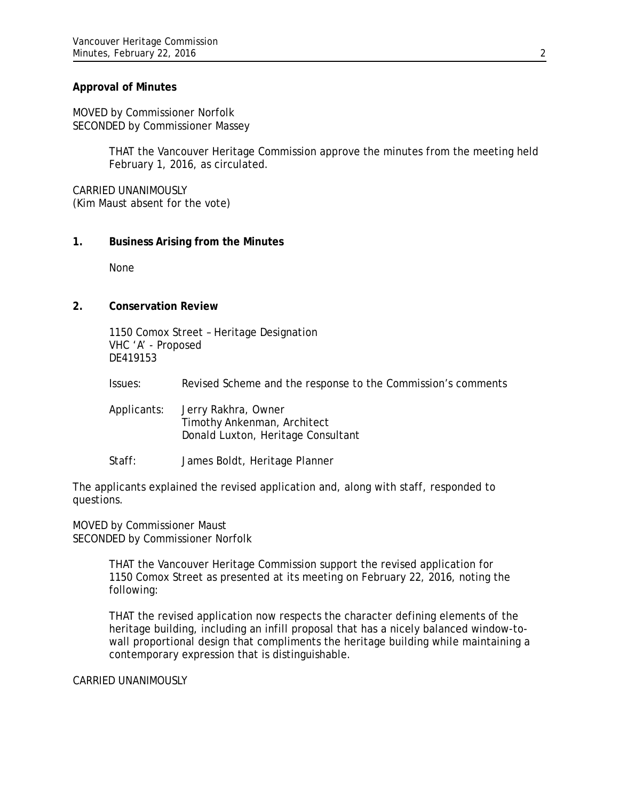# **Approval of Minutes**

MOVED by Commissioner Norfolk SECONDED by Commissioner Massey

> THAT the Vancouver Heritage Commission approve the minutes from the meeting held February 1, 2016, as circulated.

CARRIED UNANIMOUSLY (Kim Maust absent for the vote)

## **1. Business Arising from the Minutes**

None

## **2. Conservation Review**

1150 Comox Street – Heritage Designation VHC 'A' - Proposed DE419153

Issues: Revised Scheme and the response to the Commission's comments

Applicants: Jerry Rakhra, Owner Timothy Ankenman, Architect Donald Luxton, Heritage Consultant

Staff: James Boldt, Heritage Planner

The applicants explained the revised application and, along with staff, responded to questions.

MOVED by Commissioner Maust SECONDED by Commissioner Norfolk

> THAT the Vancouver Heritage Commission support the revised application for 1150 Comox Street as presented at its meeting on February 22, 2016, noting the following:

THAT the revised application now respects the character defining elements of the heritage building, including an infill proposal that has a nicely balanced window-towall proportional design that compliments the heritage building while maintaining a contemporary expression that is distinguishable.

CARRIED UNANIMOUSLY